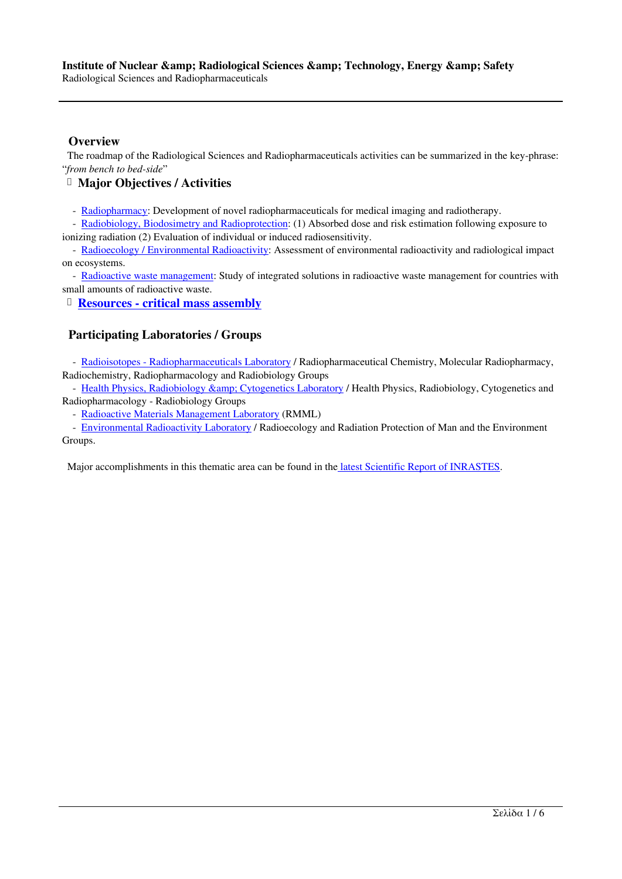Radiological Sciences and Radiopharmaceuticals

#### **Overview**

 The roadmap of the Radiological Sciences and Radiopharmaceuticals activities can be summarized in the key-phrase: "*from bench to bed-side*"

**Major Objectives / Activities**

- Radiopharmacy: Development of novel radiopharmaceuticals for medical imaging and radiotherapy.

 - Radiobiology, Biodosimetry and Radioprotection: (1) Absorbed dose and risk estimation following exposure to ionizing radiation (2) Εvaluation of individual or induced radiosensitivity.

 - Radioecology / Environmental Radioactivity: Assessment of environmental radioactivity and radiological impact on e[cosystems.](http://www.ipretea.demokritos.gr/index.php?option=com_content&task=view&id=155&Itemid=196&limit=1&limitstart=1) 

- [Radioactive waste management: Study of integrat](http://www.ipretea.demokritos.gr/index.php?option=com_content&task=view&id=155&Itemid=196&limit=1&limitstart=2)ed solutions in radioactive waste management for countries with small amounts of radioactive waste.

**[Resources - critical mass assembly](http://www.ipretea.demokritos.gr/index.php?option=com_content&task=view&id=155&Itemid=196&limit=1&limitstart=3)**

# **P[articipating Laboratories](http://www.ipretea.demokritos.gr/index.php?option=com_content&task=view&id=155&Itemid=196&limit=1&limitstart=4) / Groups**

- [Radioisotopes - Radiopharmaceuticals Labo](http://www.ipretea.demokritos.gr/index.php?option=com_content&task=view&id=155&Itemid=196&limit=1&limitstart=5)ratory / Radiopharmaceutical Chemistry, Molecular Radiopharmacy, Radiochemistry, Radiopharmacology and Radiobiology Groups

- Health Physics, Radiobiology & amp; Cytogenetics Laboratory / Health Physics, Radiobiology, Cytogenetics and Radiopharmacology - Radiobiology Groups

- [Radioactive Materials Management Laboratory \(R](http://www.ipretea.demokritos.gr/index.php?option=com_content&task=view&id=16&Itemid=58)MML)

- Environmental Radioactivity Laboratory / Radioecology and Radiation Protection of Man and the Environment Gro[ups.](http://www.ipretea.demokritos.gr/index.php?option=com_content&task=view&id=79&Itemid=113) 

Ma[jor accomplishments in this thematic area can b](http://www.ipretea.demokritos.gr/index.php?option=com_content&task=view&id=76&Itemid=114)e found in the latest Scientific Report of INRASTES.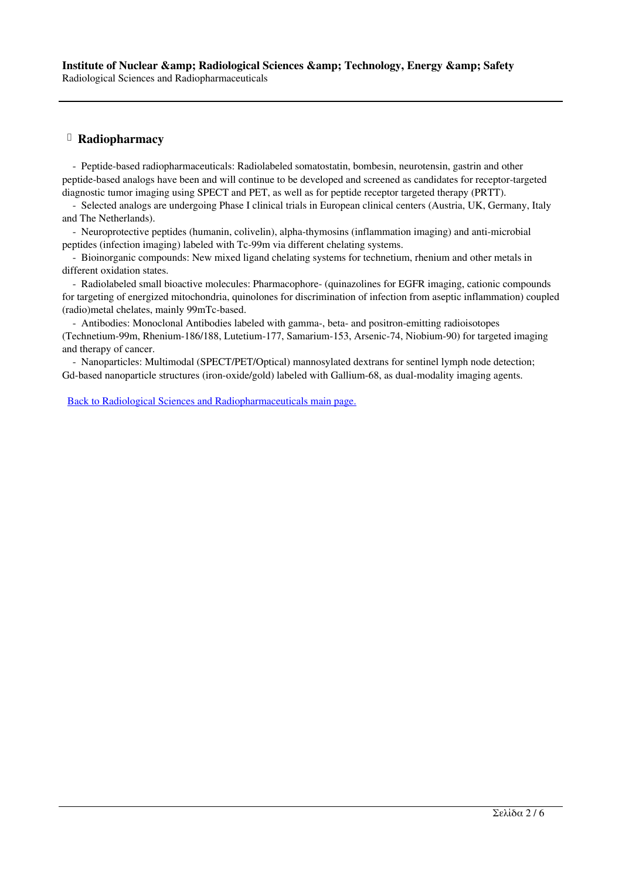### **Radiopharmacy**

 - Peptide-based radiopharmaceuticals: Radiolabeled somatostatin, bombesin, neurotensin, gastrin and other peptide-based analogs have been and will continue to be developed and screened as candidates for receptor-targeted diagnostic tumor imaging using SPECT and PET, as well as for peptide receptor targeted therapy (PRTT).

 - Selected analogs are undergoing Phase I clinical trials in European clinical centers (Austria, UK, Germany, Italy and The Netherlands).

 - Neuroprotective peptides (humanin, colivelin), alpha-thymosins (inflammation imaging) and anti-microbial peptides (infection imaging) labeled with Tc-99m via different chelating systems.

 - Bioinorganic compounds: New mixed ligand chelating systems for technetium, rhenium and other metals in different oxidation states.

 - Radiolabeled small bioactive molecules: Pharmacophore- (quinazolines for EGFR imaging, cationic compounds for targeting of energized mitochondria, quinolones for discrimination of infection from aseptic inflammation) coupled (radio)metal chelates, mainly 99mTc-based.

 - Antibodies: Monoclonal Antibodies labeled with gamma-, beta- and positron-emitting radioisotopes (Technetium-99m, Rhenium-186/188, Lutetium-177, Samarium-153, Arsenic-74, Niobium-90) for targeted imaging and therapy of cancer.

 - Nanoparticles: Multimodal (SPECT/PET/Optical) mannosylated dextrans for sentinel lymph node detection; Gd-based nanoparticle structures (iron-oxide/gold) labeled with Gallium-68, as dual-modality imaging agents.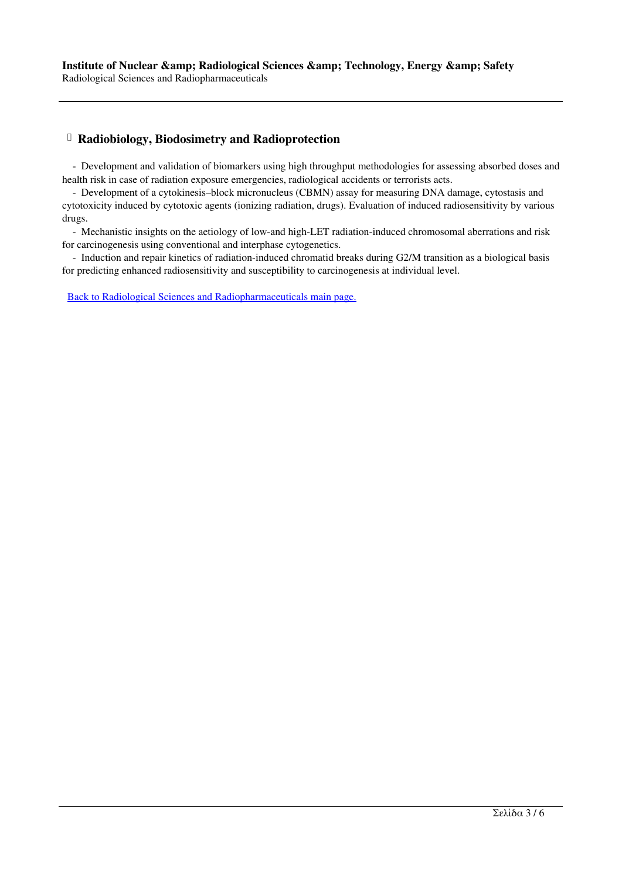# **Radiobiology, Biodosimetry and Radioprotection**

 - Development and validation of biomarkers using high throughput methodologies for assessing absorbed doses and health risk in case of radiation exposure emergencies, radiological accidents or terrorists acts.

 - Development of a cytokinesis–block micronucleus (CBMN) assay for measuring DNA damage, cytostasis and cytotoxicity induced by cytotoxic agents (ionizing radiation, drugs). Evaluation of induced radiosensitivity by various drugs.

 - Mechanistic insights on the aetiology of low-and high-LET radiation-induced chromosomal aberrations and risk for carcinogenesis using conventional and interphase cytogenetics.

 - Induction and repair kinetics of radiation-induced chromatid breaks during G2/M transition as a biological basis for predicting enhanced radiosensitivity and susceptibility to carcinogenesis at individual level.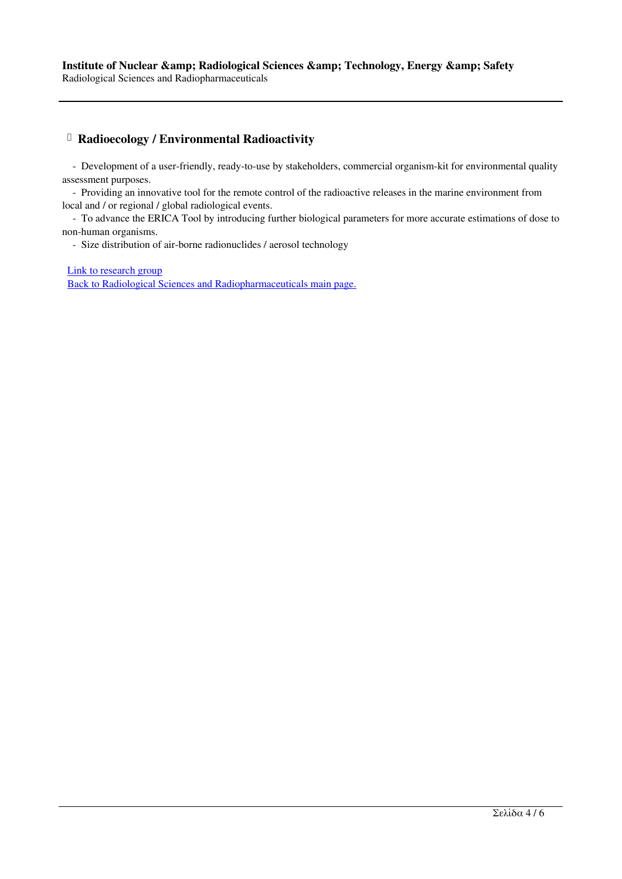# **Radioecology / Environmental Radioactivity**

 - Development of a user-friendly, ready-to-use by stakeholders, commercial organism-kit for environmental quality assessment purposes.

 - Providing an innovative tool for the remote control of the radioactive releases in the marine environment from local and / or regional / global radiological events.

 - To advance the ERICA Tool by introducing further biological parameters for more accurate estimations of dose to non-human organisms.

- Size distribution of air-borne radionuclides / aerosol technology

Link to research group Back to Radiological Sciences and Radiopharmaceuticals main page.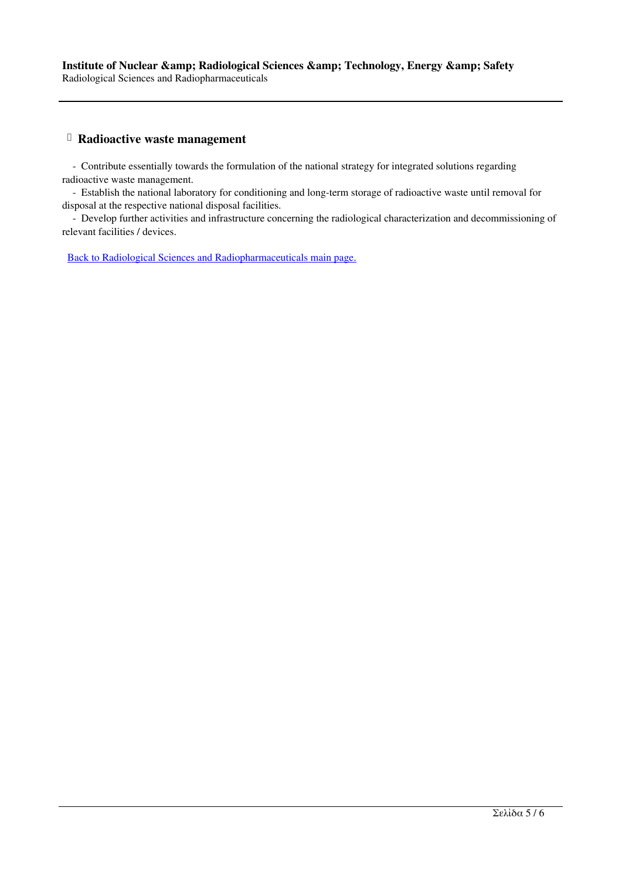#### **Radioactive waste management**

 - Contribute essentially towards the formulation of the national strategy for integrated solutions regarding radioactive waste management.

 - Establish the national laboratory for conditioning and long-term storage of radioactive waste until removal for disposal at the respective national disposal facilities.

 - Develop further activities and infrastructure concerning the radiological characterization and decommissioning of relevant facilities / devices.